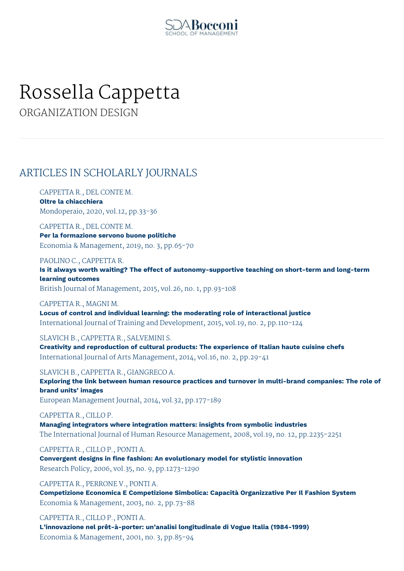

# Rossella Cappetta

ORGANIZATION DESIGN

## ARTICLES IN SCHOLARLY JOURNALS

CAPPETTA R., DEL CONTE M. **Oltre la chiacchiera** Mondoperaio, 2020, vol.12, pp.33-36

CAPPETTA R., DEL CONTE M. **Per la formazione servono buone politiche** Economia & Management, 2019, no. 3, pp.65-70

### PAOLINO C., CAPPETTA R.

**Is it always worth waiting? The effect of autonomy-supportive teaching on short-term and long-term learning outcomes**

British Journal of Management, 2015, vol.26, no. 1, pp.93-108

#### CAPPETTA R., MAGNI M.

**Locus of control and individual learning: the moderating role of interactional justice** International Journal of Training and Development, 2015, vol.19, no. 2, pp.110-124

### SLAVICH B., CAPPETTA R., SALVEMINI S.

**Creativity and reproduction of cultural products: The experience of Italian haute cuisine chefs** International Journal of Arts Management, 2014, vol.16, no. 2, pp.29-41

SLAVICH B., CAPPETTA R., GIANGRECO A.

**Exploring the link between human resource practices and turnover in multi-brand companies: The role of brand units' images**

European Management Journal, 2014, vol.32, pp.177-189

### CAPPETTA R., CILLO P.

**Managing integrators where integration matters: insights from symbolic industries** The International Journal of Human Resource Management, 2008, vol.19, no. 12, pp.2235-2251

### CAPPETTA R., CILLO P., PONTI A.

**Convergent designs in fine fashion: An evolutionary model for stylistic innovation** Research Policy, 2006, vol.35, no. 9, pp.1273-1290

### CAPPETTA R., PERRONE V., PONTI A.

**Competizione Economica E Competizione Simbolica: Capacità Organizzative Per Il Fashion System** Economia & Management, 2003, no. 2, pp.73-88

CAPPETTA R., CILLO P., PONTI A.

**L'innovazione nel prêt-à-porter: un'analisi longitudinale di Vogue Italia (1984-1999)** Economia & Management, 2001, no. 3, pp.85-94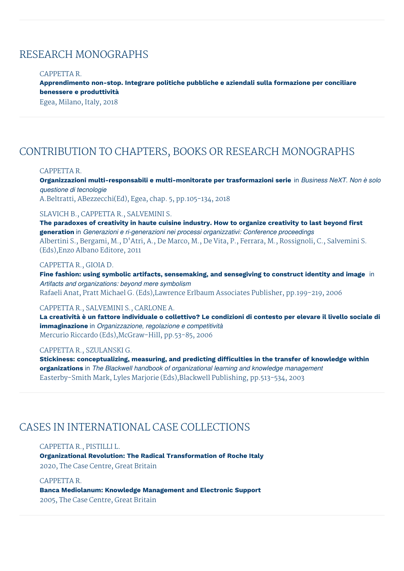### RESEARCH MONOGRAPHS

#### CAPPETTA R.

**Apprendimento non-stop. Integrare politiche pubbliche e aziendali sulla formazione per conciliare benessere e produttività**

Egea, Milano, Italy, 2018

## CONTRIBUTION TO CHAPTERS, BOOKS OR RESEARCH MONOGRAPHS

#### CAPPETTA R.

**Organizzazioni multi-responsabili e multi-monitorate per trasformazioni serie** in *Business NeXT. Non è solo questione di tecnologie* A.Beltratti, ABezzecchi(Ed), Egea, chap. 5, pp.105-134, 2018

### SLAVICH B., CAPPETTA R., SALVEMINI S.

**The paradoxes of creativity in haute cuisine industry. How to organize creativity to last beyond first generation** in *Generazioni e ri-generazioni nei processi organizzativi: Conference proceedings* Albertini S., Bergami, M., D'Atri, A., De Marco, M., De Vita, P., Ferrara, M., Rossignoli, C., Salvemini S. (Eds),Enzo Albano Editore, 2011

### CAPPETTA R., GIOIA D.

**Fine fashion: using symbolic artifacts, sensemaking, and sensegiving to construct identity and image** in *Artifacts and organizations: beyond mere symbolism* Rafaeli Anat, Pratt Michael G. (Eds),Lawrence Erlbaum Associates Publisher, pp.199-219, 2006

#### CAPPETTA R., SALVEMINI S., CARLONE A.

La creatività è un fattore individuale o collettivo? Le condizioni di contesto per elevare il livello sociale di **immaginazione** in *Organizzazione, regolazione e competitività* Mercurio Riccardo (Eds),McGraw-Hill, pp.53-85, 2006

#### CAPPETTA R., SZULANSKI G.

**Stickiness: conceptualizing, measuring, and predicting difficulties in the transfer of knowledge within organizations** in *The Blackwell handbook of organizational learning and knowledge management* Easterby-Smith Mark, Lyles Marjorie (Eds),Blackwell Publishing, pp.513-534, 2003

### CASES IN INTERNATIONAL CASE COLLECTIONS

CAPPETTA R., PISTILLI L.

**Organizational Revolution: The Radical Transformation of Roche Italy** 2020, The Case Centre, Great Britain

CAPPETTA R. **Banca Mediolanum: Knowledge Management and Electronic Support** 2005, The Case Centre, Great Britain